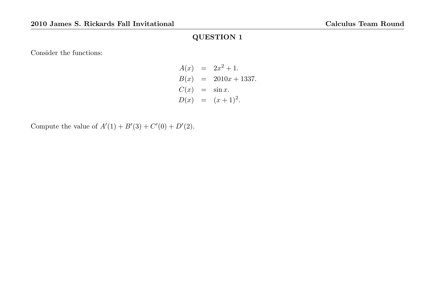Consider the functions:

$$
A(x) = 2x^{2} + 1.
$$
  
\n
$$
B(x) = 2010x + 1337.
$$
  
\n
$$
C(x) = \sin x.
$$
  
\n
$$
D(x) = (x + 1)^{2}.
$$

Compute the value of  $A'(1) + B'(3) + C'(0) + D'(2)$ .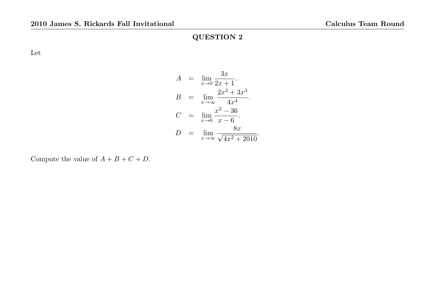Let

$$
A = \lim_{x \to 0} \frac{3x}{2x + 1}.
$$
  
\n
$$
B = \lim_{x \to \infty} \frac{2x^2 + 3x^3}{4x^4}.
$$
  
\n
$$
C = \lim_{x \to 6} \frac{x^2 - 36}{x - 6}.
$$
  
\n
$$
D = \lim_{x \to \infty} \frac{8x}{\sqrt{4x^2 + 2010}}.
$$

Compute the value of  $A + B + C + D$ .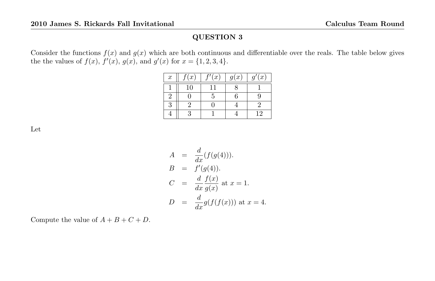Consider the functions  $f(x)$  and  $g(x)$  which are both continuous and differentiable over the reals. The table below gives the the values of  $f(x)$ ,  $f'(x)$ ,  $g(x)$ , and  $g'(x)$  for  $x = \{1, 2, 3, 4\}.$ 

| $\boldsymbol{x}$ | f(x) | $\sqrt{c'}(x)$ | g(x) | g'(x) |
|------------------|------|----------------|------|-------|
|                  | 10   |                |      |       |
| 2                |      |                | հ    |       |
| 3                |      |                |      |       |
|                  |      |                |      | 12    |

Let

$$
A = \frac{d}{dx}(f(g(4))).
$$
  
\n
$$
B = f'(g(4)).
$$
  
\n
$$
C = \frac{d}{dx}\frac{f(x)}{g(x)} \text{ at } x = 1.
$$
  
\n
$$
D = \frac{d}{dx}g(f(f(x))) \text{ at } x = 4.
$$

Compute the value of  $A + B + C + D$ .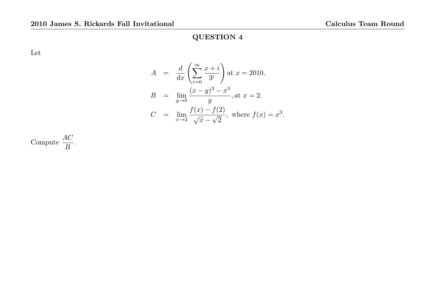Let

$$
A = \frac{d}{dx} \left( \sum_{i=0}^{\infty} \frac{x+i}{3^i} \right) \text{at } x = 2010.
$$
  
\n
$$
B = \lim_{y \to 0} \frac{(x-y)^3 - x^3}{y}, \text{at } x = 2.
$$
  
\n
$$
C = \lim_{x \to 2} \frac{f(x) - f(2)}{\sqrt{x} - \sqrt{2}}, \text{ where } f(x) = x^3.
$$

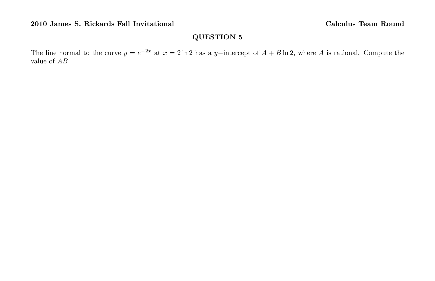The line normal to the curve  $y = e^{-2x}$  at  $x = 2 \ln 2$  has a y-intercept of  $A + B \ln 2$ , where A is rational. Compute the value of AB.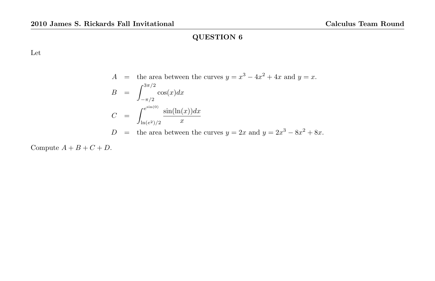Let

$$
A = \text{the area between the curves } y = x^3 - 4x^2 + 4x \text{ and } y = x.
$$
  
\n
$$
B = \int_{-\pi/2}^{3\pi/2} \cos(x) dx
$$
  
\n
$$
C = \int_{\ln(e^2)/2}^{e^{\sin(0)}} \frac{\sin(\ln(x)) dx}{x}
$$
  
\n
$$
D = \text{the area between the curves } y = 2x \text{ and } y = 2x^3 - 8x^2 + 8x.
$$

Compute  $A + B + C + D$ .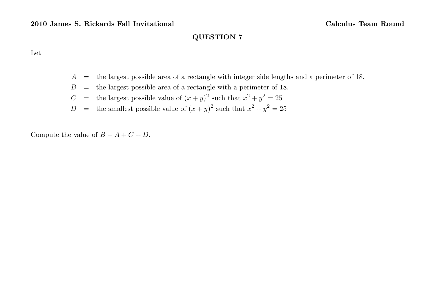Let

- $A =$  the largest possible area of a rectangle with integer side lengths and a perimeter of 18.
- $B =$  the largest possible area of a rectangle with a perimeter of 18.
- C = the largest possible value of  $(x+y)^2$  such that  $x^2 + y^2 = 25$
- D = the smallest possible value of  $(x+y)^2$  such that  $x^2 + y^2 = 25$

Compute the value of  $B - A + C + D$ .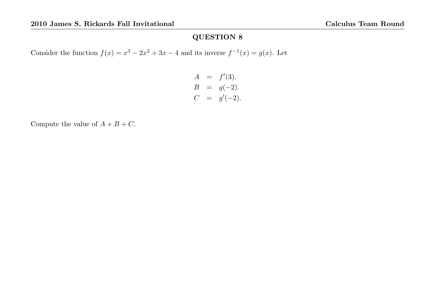Consider the function  $f(x) = x^3 - 2x^2 + 3x - 4$  and its inverse  $f^{-1}(x) = g(x)$ . Let

$$
A = f'(3).
$$
  
\n
$$
B = g(-2).
$$
  
\n
$$
C = g'(-2).
$$

Compute the value of  $A+B+C.$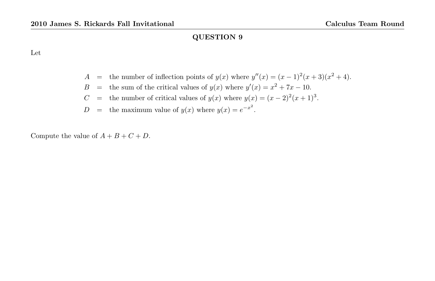Let

A = the number of inflection points of  $y(x)$  where  $y''(x) = (x-1)^2(x+3)(x^2+4)$ .

- B = the sum of the critical values of  $y(x)$  where  $y'(x) = x^2 + 7x 10$ .
- C = the number of critical values of  $y(x)$  where  $y(x) = (x-2)^2(x+1)^3$ .
- $D =$  the maximum value of  $y(x)$  where  $y(x) = e^{-x^2}$ .

Compute the value of  $A + B + C + D$ .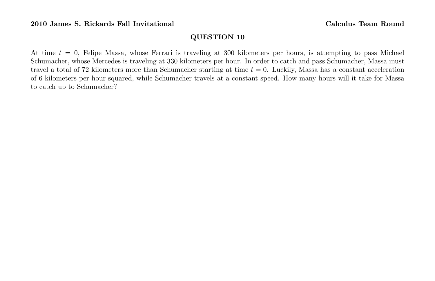At time  $t = 0$ , Felipe Massa, whose Ferrari is traveling at 300 kilometers per hours, is attempting to pass Michael Schumacher, whose Mercedes is traveling at 330 kilometers per hour. In order to catch and pass Schumacher, Massa must travel a total of 72 kilometers more than Schumacher starting at time  $t = 0$ . Luckily, Massa has a constant acceleration of 6 kilometers per hour-squared, while Schumacher travels at a constant speed. How many hours will it take for Massa to catch up to Schumacher?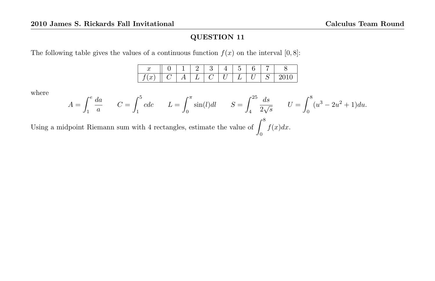The following table gives the values of a continuous function  $f(x)$  on the interval  $[0, 8]$ :

| . . |  |  |  |  |  |
|-----|--|--|--|--|--|

where

$$
A = \int_1^e \frac{da}{a} \qquad C = \int_1^5 cdc \qquad L = \int_0^{\pi} \sin(l)dl \qquad S = \int_4^{25} \frac{ds}{2\sqrt{s}} \qquad U = \int_0^8 (u^3 - 2u^2 + 1)du.
$$

Using a midpoint Riemann sum with 4 rectangles, estimate the value of  $\int^8$ 0  $f(x)dx$ .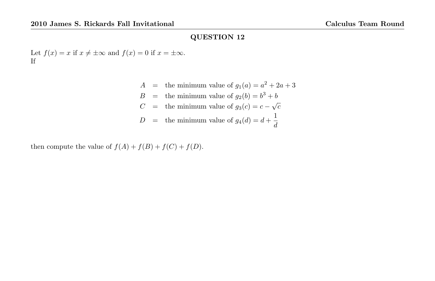Let  $f(x) = x$  if  $x \neq \pm \infty$  and  $f(x) = 0$  if  $x = \pm \infty$ . If

> $A =$  the minimum value of  $g_1(a) = a^2 + 2a + 3$  $B =$  the minimum value of  $g_2(b) = b^3 + b$  $C =$  the minimum value of  $g_3(c) = c - \sqrt{c}$  $D =$  the minimum value of  $g_4(d) = d + \frac{1}{d}$ d

then compute the value of  $f(A) + f(B) + f(C) + f(D)$ .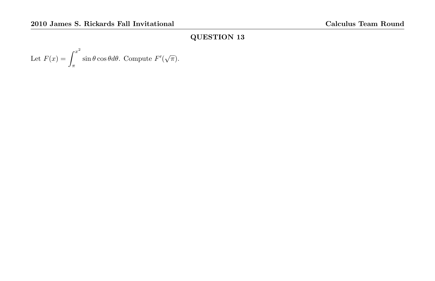Let 
$$
F(x) = \int_{\pi}^{x^2} \sin \theta \cos \theta d\theta
$$
. Compute  $F'(\sqrt{\pi})$ .